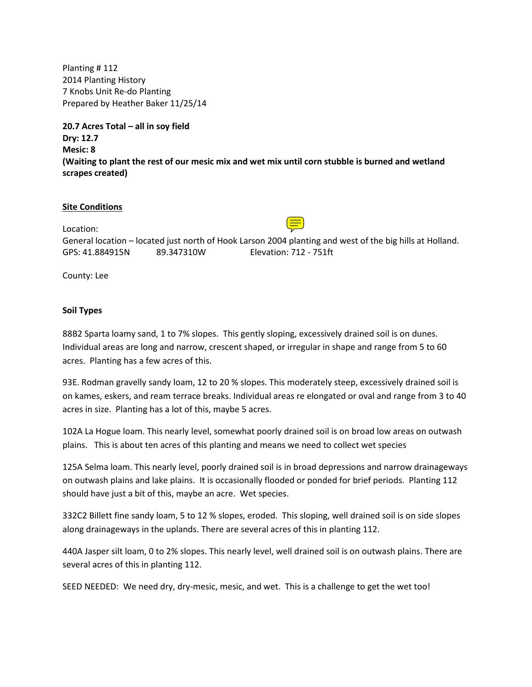Planting # 112 2014 Planting History 7 Knobs Unit Re-do Planting Prepared by Heather Baker 11/25/14

**20.7 Acres Total – all in soy field Dry: 12.7 Mesic: 8 (Waiting to plant the rest of our mesic mix and wet mix until corn stubble is burned and wetland scrapes created)**

#### **Site Conditions**

Location: General location – located just north of Hook Larson 2004 planting and west of the big hills at Holland. GPS: 41.884915N 89.347310W Elevation: 712 - 751ft

County: Lee

### **Soil Types**

88B2 Sparta loamy sand, 1 to 7% slopes. This gently sloping, excessively drained soil is on dunes. Individual areas are long and narrow, crescent shaped, or irregular in shape and range from 5 to 60 acres. Planting has a few acres of this.

93E. Rodman gravelly sandy loam, 12 to 20 % slopes. This moderately steep, excessively drained soil is on kames, eskers, and ream terrace breaks. Individual areas re elongated or oval and range from 3 to 40 acres in size. Planting has a lot of this, maybe 5 acres.

102A La Hogue loam. This nearly level, somewhat poorly drained soil is on broad low areas on outwash plains. This is about ten acres of this planting and means we need to collect wet species

125A Selma loam. This nearly level, poorly drained soil is in broad depressions and narrow drainageways on outwash plains and lake plains. It is occasionally flooded or ponded for brief periods. Planting 112 should have just a bit of this, maybe an acre. Wet species.

332C2 Billett fine sandy loam, 5 to 12 % slopes, eroded. This sloping, well drained soil is on side slopes along drainageways in the uplands. There are several acres of this in planting 112.

440A Jasper silt loam, 0 to 2% slopes. This nearly level, well drained soil is on outwash plains. There are several acres of this in planting 112.

SEED NEEDED: We need dry, dry-mesic, mesic, and wet. This is a challenge to get the wet too!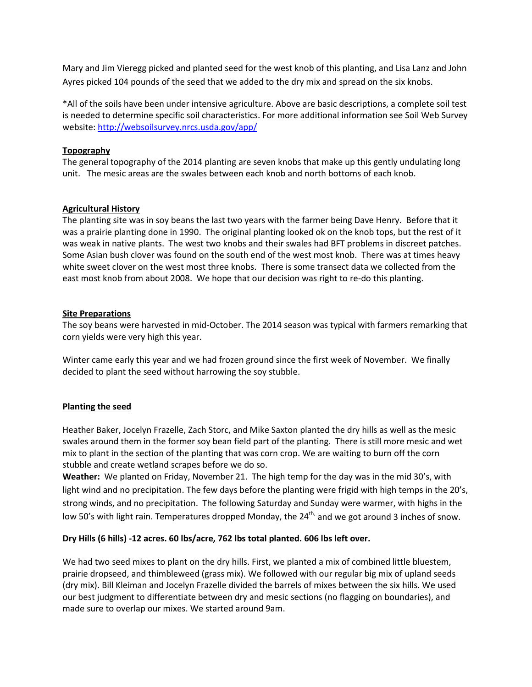Mary and Jim Vieregg picked and planted seed for the west knob of this planting, and Lisa Lanz and John Ayres picked 104 pounds of the seed that we added to the dry mix and spread on the six knobs.

\*All of the soils have been under intensive agriculture. Above are basic descriptions, a complete soil test is needed to determine specific soil characteristics. For more additional information see Soil Web Survey website[: http://websoilsurvey.nrcs.usda.gov/app/](http://websoilsurvey.nrcs.usda.gov/app/) 

## **Topography**

The general topography of the 2014 planting are seven knobs that make up this gently undulating long unit. The mesic areas are the swales between each knob and north bottoms of each knob.

## **Agricultural History**

The planting site was in soy beans the last two years with the farmer being Dave Henry. Before that it was a prairie planting done in 1990. The original planting looked ok on the knob tops, but the rest of it was weak in native plants. The west two knobs and their swales had BFT problems in discreet patches. Some Asian bush clover was found on the south end of the west most knob. There was at times heavy white sweet clover on the west most three knobs. There is some transect data we collected from the east most knob from about 2008. We hope that our decision was right to re-do this planting.

### **Site Preparations**

The soy beans were harvested in mid-October. The 2014 season was typical with farmers remarking that corn yields were very high this year.

Winter came early this year and we had frozen ground since the first week of November. We finally decided to plant the seed without harrowing the soy stubble.

## **Planting the seed**

Heather Baker, Jocelyn Frazelle, Zach Storc, and Mike Saxton planted the dry hills as well as the mesic swales around them in the former soy bean field part of the planting. There is still more mesic and wet mix to plant in the section of the planting that was corn crop. We are waiting to burn off the corn stubble and create wetland scrapes before we do so.

**Weather:** We planted on Friday, November 21. The high temp for the day was in the mid 30's, with light wind and no precipitation. The few days before the planting were frigid with high temps in the 20's, strong winds, and no precipitation. The following Saturday and Sunday were warmer, with highs in the low 50's with light rain. Temperatures dropped Monday, the 24<sup>th,</sup> and we got around 3 inches of snow.

### **Dry Hills (6 hills) -12 acres. 60 lbs/acre, 762 lbs total planted. 606 lbs left over.**

We had two seed mixes to plant on the dry hills. First, we planted a mix of combined little bluestem, prairie dropseed, and thimbleweed (grass mix). We followed with our regular big mix of upland seeds (dry mix). Bill Kleiman and Jocelyn Frazelle divided the barrels of mixes between the six hills. We used our best judgment to differentiate between dry and mesic sections (no flagging on boundaries), and made sure to overlap our mixes. We started around 9am.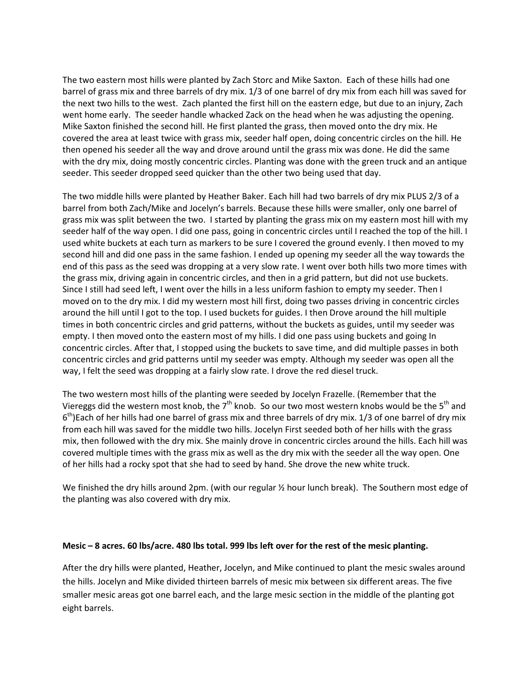The two eastern most hills were planted by Zach Storc and Mike Saxton. Each of these hills had one barrel of grass mix and three barrels of dry mix. 1/3 of one barrel of dry mix from each hill was saved for the next two hills to the west. Zach planted the first hill on the eastern edge, but due to an injury, Zach went home early. The seeder handle whacked Zack on the head when he was adjusting the opening. Mike Saxton finished the second hill. He first planted the grass, then moved onto the dry mix. He covered the area at least twice with grass mix, seeder half open, doing concentric circles on the hill. He then opened his seeder all the way and drove around until the grass mix was done. He did the same with the dry mix, doing mostly concentric circles. Planting was done with the green truck and an antique seeder. This seeder dropped seed quicker than the other two being used that day.

The two middle hills were planted by Heather Baker. Each hill had two barrels of dry mix PLUS 2/3 of a barrel from both Zach/Mike and Jocelyn's barrels. Because these hills were smaller, only one barrel of grass mix was split between the two. I started by planting the grass mix on my eastern most hill with my seeder half of the way open. I did one pass, going in concentric circles until I reached the top of the hill. I used white buckets at each turn as markers to be sure I covered the ground evenly. I then moved to my second hill and did one pass in the same fashion. I ended up opening my seeder all the way towards the end of this pass as the seed was dropping at a very slow rate. I went over both hills two more times with the grass mix, driving again in concentric circles, and then in a grid pattern, but did not use buckets. Since I still had seed left, I went over the hills in a less uniform fashion to empty my seeder. Then I moved on to the dry mix. I did my western most hill first, doing two passes driving in concentric circles around the hill until I got to the top. I used buckets for guides. I then Drove around the hill multiple times in both concentric circles and grid patterns, without the buckets as guides, until my seeder was empty. I then moved onto the eastern most of my hills. I did one pass using buckets and going In concentric circles. After that, I stopped using the buckets to save time, and did multiple passes in both concentric circles and grid patterns until my seeder was empty. Although my seeder was open all the way, I felt the seed was dropping at a fairly slow rate. I drove the red diesel truck.

The two western most hills of the planting were seeded by Jocelyn Frazelle. (Remember that the Viereggs did the western most knob, the  $7<sup>th</sup>$  knob. So our two most western knobs would be the  $5<sup>th</sup>$  and  $6<sup>th</sup>$  Each of her hills had one barrel of grass mix and three barrels of dry mix. 1/3 of one barrel of dry mix from each hill was saved for the middle two hills. Jocelyn First seeded both of her hills with the grass mix, then followed with the dry mix. She mainly drove in concentric circles around the hills. Each hill was covered multiple times with the grass mix as well as the dry mix with the seeder all the way open. One of her hills had a rocky spot that she had to seed by hand. She drove the new white truck.

We finished the dry hills around 2pm. (with our regular % hour lunch break). The Southern most edge of the planting was also covered with dry mix.

### **Mesic – 8 acres. 60 lbs/acre. 480 lbs total. 999 lbs left over for the rest of the mesic planting.**

After the dry hills were planted, Heather, Jocelyn, and Mike continued to plant the mesic swales around the hills. Jocelyn and Mike divided thirteen barrels of mesic mix between six different areas. The five smaller mesic areas got one barrel each, and the large mesic section in the middle of the planting got eight barrels.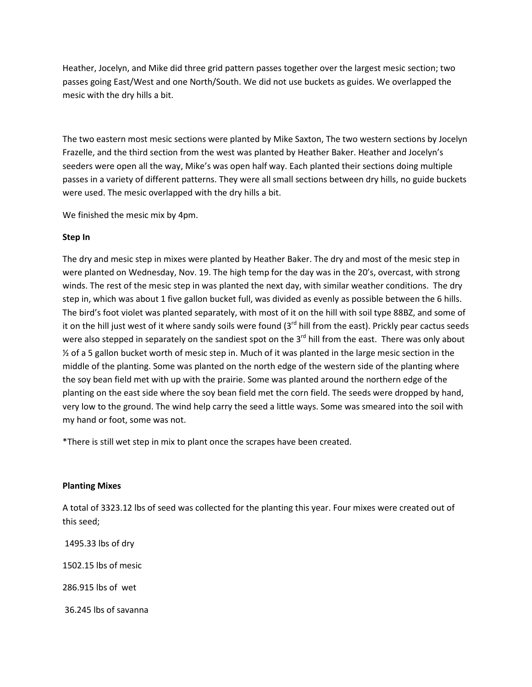Heather, Jocelyn, and Mike did three grid pattern passes together over the largest mesic section; two passes going East/West and one North/South. We did not use buckets as guides. We overlapped the mesic with the dry hills a bit.

The two eastern most mesic sections were planted by Mike Saxton, The two western sections by Jocelyn Frazelle, and the third section from the west was planted by Heather Baker. Heather and Jocelyn's seeders were open all the way, Mike's was open half way. Each planted their sections doing multiple passes in a variety of different patterns. They were all small sections between dry hills, no guide buckets were used. The mesic overlapped with the dry hills a bit.

We finished the mesic mix by 4pm.

### **Step In**

The dry and mesic step in mixes were planted by Heather Baker. The dry and most of the mesic step in were planted on Wednesday, Nov. 19. The high temp for the day was in the 20's, overcast, with strong winds. The rest of the mesic step in was planted the next day, with similar weather conditions. The dry step in, which was about 1 five gallon bucket full, was divided as evenly as possible between the 6 hills. The bird's foot violet was planted separately, with most of it on the hill with soil type 88BZ, and some of it on the hill just west of it where sandy soils were found  $3<sup>rd</sup>$  hill from the east). Prickly pear cactus seeds were also stepped in separately on the sandiest spot on the 3<sup>rd</sup> hill from the east. There was only about  $\frac{1}{2}$  of a 5 gallon bucket worth of mesic step in. Much of it was planted in the large mesic section in the middle of the planting. Some was planted on the north edge of the western side of the planting where the soy bean field met with up with the prairie. Some was planted around the northern edge of the planting on the east side where the soy bean field met the corn field. The seeds were dropped by hand, very low to the ground. The wind help carry the seed a little ways. Some was smeared into the soil with my hand or foot, some was not.

\*There is still wet step in mix to plant once the scrapes have been created.

### **Planting Mixes**

A total of 3323.12 lbs of seed was collected for the planting this year. Four mixes were created out of this seed;

1495.33 lbs of dry 1502.15 lbs of mesic 286.915 lbs of wet 36.245 lbs of savanna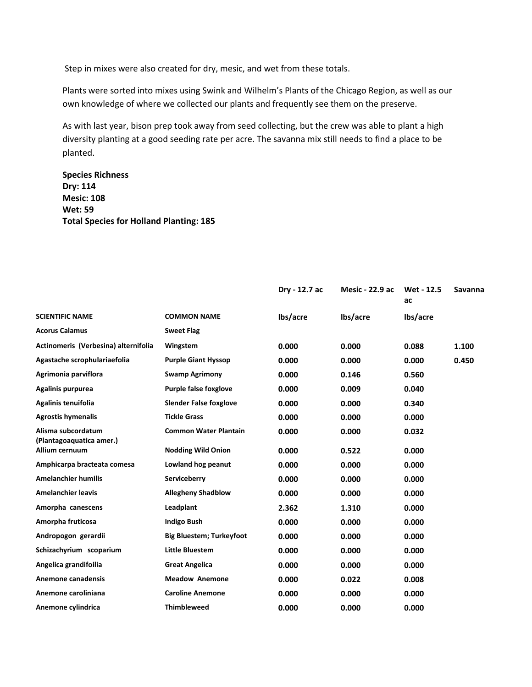Step in mixes were also created for dry, mesic, and wet from these totals.

Plants were sorted into mixes using Swink and Wilhelm's Plants of the Chicago Region, as well as our own knowledge of where we collected our plants and frequently see them on the preserve.

As with last year, bison prep took away from seed collecting, but the crew was able to plant a high diversity planting at a good seeding rate per acre. The savanna mix still needs to find a place to be planted.

# **Species Richness Dry: 114 Mesic: 108 Wet: 59 Total Species for Holland Planting: 185**

|                                            |                                 | Dry - 12.7 ac | Mesic - 22.9 ac | Wet - 12.5<br>ac | Savanna |
|--------------------------------------------|---------------------------------|---------------|-----------------|------------------|---------|
| <b>SCIENTIFIC NAME</b>                     | <b>COMMON NAME</b>              | lbs/acre      | lbs/acre        | lbs/acre         |         |
| <b>Acorus Calamus</b>                      | <b>Sweet Flag</b>               |               |                 |                  |         |
| Actinomeris (Verbesina) alternifolia       | Wingstem                        | 0.000         | 0.000           | 0.088            | 1.100   |
| Agastache scrophulariaefolia               | <b>Purple Giant Hyssop</b>      | 0.000         | 0.000           | 0.000            | 0.450   |
| Agrimonia parviflora                       | <b>Swamp Agrimony</b>           | 0.000         | 0.146           | 0.560            |         |
| Agalinis purpurea                          | <b>Purple false foxglove</b>    | 0.000         | 0.009           | 0.040            |         |
| Agalinis tenuifolia                        | <b>Slender False foxglove</b>   | 0.000         | 0.000           | 0.340            |         |
| <b>Agrostis hymenalis</b>                  | <b>Tickle Grass</b>             | 0.000         | 0.000           | 0.000            |         |
| Alisma subcordatum                         | <b>Common Water Plantain</b>    | 0.000         | 0.000           | 0.032            |         |
| (Plantagoaquatica amer.)<br>Allium cernuum | <b>Nodding Wild Onion</b>       | 0.000         | 0.522           | 0.000            |         |
| Amphicarpa bracteata comesa                | Lowland hog peanut              | 0.000         | 0.000           | 0.000            |         |
| <b>Amelanchier humilis</b>                 | Serviceberry                    | 0.000         | 0.000           | 0.000            |         |
| <b>Amelanchier leavis</b>                  | <b>Allegheny Shadblow</b>       | 0.000         | 0.000           | 0.000            |         |
| Amorpha canescens                          | Leadplant                       | 2.362         | 1.310           | 0.000            |         |
| Amorpha fruticosa                          | <b>Indigo Bush</b>              | 0.000         | 0.000           | 0.000            |         |
| Andropogon gerardii                        | <b>Big Bluestem; Turkeyfoot</b> | 0.000         | 0.000           | 0.000            |         |
| Schizachyrium scoparium                    | <b>Little Bluestem</b>          | 0.000         | 0.000           | 0.000            |         |
| Angelica grandifoilia                      | <b>Great Angelica</b>           | 0.000         | 0.000           | 0.000            |         |
| Anemone canadensis                         | <b>Meadow Anemone</b>           | 0.000         | 0.022           | 0.008            |         |
| Anemone caroliniana                        | <b>Caroline Anemone</b>         | 0.000         | 0.000           | 0.000            |         |
| Anemone cylindrica                         | <b>Thimbleweed</b>              | 0.000         | 0.000           | 0.000            |         |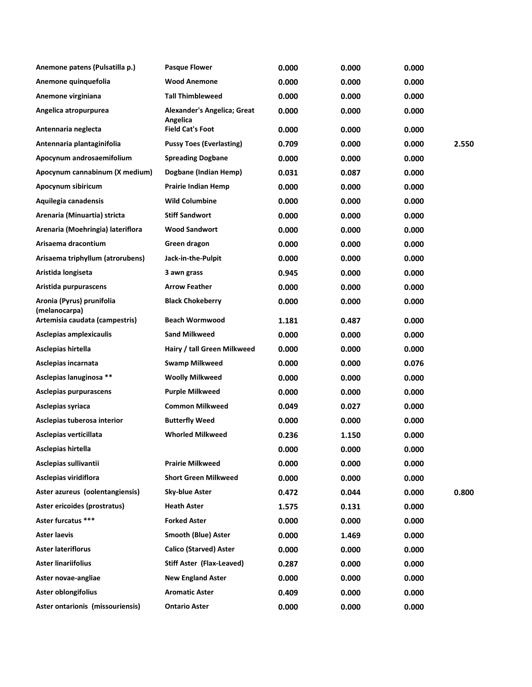| Anemone patens (Pulsatilla p.)             | <b>Pasque Flower</b>                    | 0.000 | 0.000 | 0.000 |       |
|--------------------------------------------|-----------------------------------------|-------|-------|-------|-------|
| Anemone quinquefolia                       | <b>Wood Anemone</b>                     | 0.000 | 0.000 | 0.000 |       |
| Anemone virginiana                         | <b>Tall Thimbleweed</b>                 | 0.000 | 0.000 | 0.000 |       |
| Angelica atropurpurea                      | Alexander's Angelica; Great<br>Angelica | 0.000 | 0.000 | 0.000 |       |
| Antennaria neglecta                        | <b>Field Cat's Foot</b>                 | 0.000 | 0.000 | 0.000 |       |
| Antennaria plantaginifolia                 | <b>Pussy Toes (Everlasting)</b>         | 0.709 | 0.000 | 0.000 | 2.550 |
| Apocynum androsaemifolium                  | <b>Spreading Dogbane</b>                | 0.000 | 0.000 | 0.000 |       |
| Apocynum cannabinum (X medium)             | Dogbane (Indian Hemp)                   | 0.031 | 0.087 | 0.000 |       |
| Apocynum sibiricum                         | <b>Prairie Indian Hemp</b>              | 0.000 | 0.000 | 0.000 |       |
| Aquilegia canadensis                       | <b>Wild Columbine</b>                   | 0.000 | 0.000 | 0.000 |       |
| Arenaria (Minuartia) stricta               | <b>Stiff Sandwort</b>                   | 0.000 | 0.000 | 0.000 |       |
| Arenaria (Moehringia) lateriflora          | <b>Wood Sandwort</b>                    | 0.000 | 0.000 | 0.000 |       |
| Arisaema dracontium                        | Green dragon                            | 0.000 | 0.000 | 0.000 |       |
| Arisaema triphyllum (atrorubens)           | Jack-in-the-Pulpit                      | 0.000 | 0.000 | 0.000 |       |
| Aristida longiseta                         | 3 awn grass                             | 0.945 | 0.000 | 0.000 |       |
| Aristida purpurascens                      | <b>Arrow Feather</b>                    | 0.000 | 0.000 | 0.000 |       |
| Aronia (Pyrus) prunifolia<br>(melanocarpa) | <b>Black Chokeberry</b>                 | 0.000 | 0.000 | 0.000 |       |
| Artemisia caudata (campestris)             | <b>Beach Wormwood</b>                   | 1.181 | 0.487 | 0.000 |       |
| Asclepias amplexicaulis                    | <b>Sand Milkweed</b>                    | 0.000 | 0.000 | 0.000 |       |
| Asclepias hirtella                         | Hairy / tall Green Milkweed             | 0.000 | 0.000 | 0.000 |       |
| Asclepias incarnata                        | <b>Swamp Milkweed</b>                   | 0.000 | 0.000 | 0.076 |       |
| Asclepias lanuginosa **                    | <b>Woolly Milkweed</b>                  | 0.000 | 0.000 | 0.000 |       |
| Asclepias purpurascens                     | <b>Purple Milkweed</b>                  | 0.000 | 0.000 | 0.000 |       |
| Asclepias syriaca                          | <b>Common Milkweed</b>                  | 0.049 | 0.027 | 0.000 |       |
| Asclepias tuberosa interior                | <b>Butterfly Weed</b>                   | 0.000 | 0.000 | 0.000 |       |
| Asclepias verticillata                     | <b>Whorled Milkweed</b>                 | 0.236 | 1.150 | 0.000 |       |
| Asclepias hirtella                         |                                         | 0.000 | 0.000 | 0.000 |       |
| Asclepias sullivantii                      | <b>Prairie Milkweed</b>                 | 0.000 | 0.000 | 0.000 |       |
| Asclepias viridiflora                      | <b>Short Green Milkweed</b>             | 0.000 | 0.000 | 0.000 |       |
| Aster azureus (oolentangiensis)            | Sky-blue Aster                          | 0.472 | 0.044 | 0.000 | 0.800 |
| Aster ericoides (prostratus)               | <b>Heath Aster</b>                      | 1.575 | 0.131 | 0.000 |       |
| Aster furcatus ***                         | <b>Forked Aster</b>                     | 0.000 | 0.000 | 0.000 |       |
| <b>Aster laevis</b>                        | <b>Smooth (Blue) Aster</b>              | 0.000 | 1.469 | 0.000 |       |
| <b>Aster lateriflorus</b>                  | <b>Calico (Starved) Aster</b>           | 0.000 | 0.000 | 0.000 |       |
| <b>Aster linariifolius</b>                 | Stiff Aster (Flax-Leaved)               | 0.287 | 0.000 | 0.000 |       |
| Aster novae-angliae                        | <b>New England Aster</b>                | 0.000 | 0.000 | 0.000 |       |
| Aster oblongifolius                        | <b>Aromatic Aster</b>                   | 0.409 | 0.000 | 0.000 |       |
| Aster ontarionis (missouriensis)           | <b>Ontario Aster</b>                    | 0.000 | 0.000 | 0.000 |       |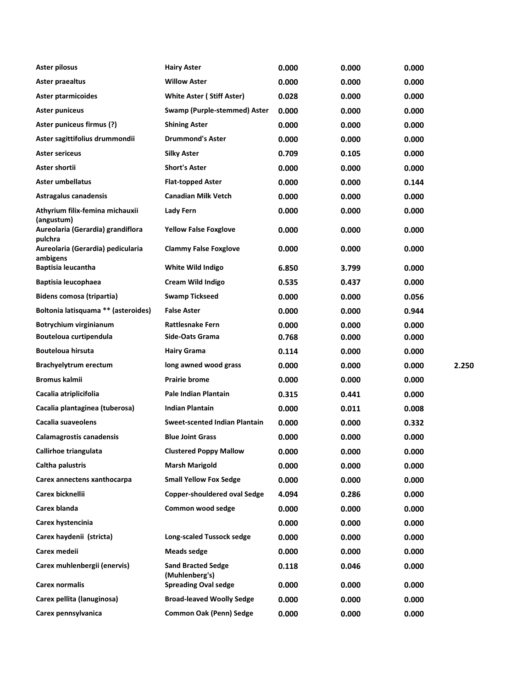| Aster pilosus                                 | <b>Hairy Aster</b>                          | 0.000 | 0.000 | 0.000 |       |
|-----------------------------------------------|---------------------------------------------|-------|-------|-------|-------|
| Aster praealtus                               | <b>Willow Aster</b>                         | 0.000 | 0.000 | 0.000 |       |
| <b>Aster ptarmicoides</b>                     | <b>White Aster (Stiff Aster)</b>            | 0.028 | 0.000 | 0.000 |       |
| <b>Aster puniceus</b>                         | Swamp (Purple-stemmed) Aster                | 0.000 | 0.000 | 0.000 |       |
| Aster puniceus firmus (?)                     | <b>Shining Aster</b>                        | 0.000 | 0.000 | 0.000 |       |
| Aster sagittifolius drummondii                | <b>Drummond's Aster</b>                     | 0.000 | 0.000 | 0.000 |       |
| Aster sericeus                                | Silky Aster                                 | 0.709 | 0.105 | 0.000 |       |
| Aster shortii                                 | <b>Short's Aster</b>                        | 0.000 | 0.000 | 0.000 |       |
| Aster umbellatus                              | <b>Flat-topped Aster</b>                    | 0.000 | 0.000 | 0.144 |       |
| Astragalus canadensis                         | <b>Canadian Milk Vetch</b>                  | 0.000 | 0.000 | 0.000 |       |
| Athyrium filix-femina michauxii<br>(angustum) | <b>Lady Fern</b>                            | 0.000 | 0.000 | 0.000 |       |
| Aureolaria (Gerardia) grandiflora<br>pulchra  | <b>Yellow False Foxglove</b>                | 0.000 | 0.000 | 0.000 |       |
| Aureolaria (Gerardia) pedicularia<br>ambigens | <b>Clammy False Foxglove</b>                | 0.000 | 0.000 | 0.000 |       |
| <b>Baptisia leucantha</b>                     | White Wild Indigo                           | 6.850 | 3.799 | 0.000 |       |
| Baptisia leucophaea                           | <b>Cream Wild Indigo</b>                    | 0.535 | 0.437 | 0.000 |       |
| Bidens comosa (tripartia)                     | <b>Swamp Tickseed</b>                       | 0.000 | 0.000 | 0.056 |       |
| Boltonia latisquama ** (asteroides)           | <b>False Aster</b>                          | 0.000 | 0.000 | 0.944 |       |
| Botrychium virginianum                        | <b>Rattlesnake Fern</b>                     | 0.000 | 0.000 | 0.000 |       |
| Bouteloua curtipendula                        | Side-Oats Grama                             | 0.768 | 0.000 | 0.000 |       |
| <b>Bouteloua hirsuta</b>                      | <b>Hairy Grama</b>                          | 0.114 | 0.000 | 0.000 |       |
| Brachyelytrum erectum                         | long awned wood grass                       | 0.000 | 0.000 | 0.000 | 2.250 |
| Bromus kalmii                                 | <b>Prairie brome</b>                        | 0.000 | 0.000 | 0.000 |       |
| Cacalia atriplicifolia                        | Pale Indian Plantain                        | 0.315 | 0.441 | 0.000 |       |
| Cacalia plantaginea (tuberosa)                | <b>Indian Plantain</b>                      | 0.000 | 0.011 | 0.008 |       |
| Cacalia suaveolens                            | <b>Sweet-scented Indian Plantain</b>        | 0.000 | 0.000 | 0.332 |       |
| Calamagrostis canadensis                      | <b>Blue Joint Grass</b>                     | 0.000 | 0.000 | 0.000 |       |
| Callirhoe triangulata                         | <b>Clustered Poppy Mallow</b>               | 0.000 | 0.000 | 0.000 |       |
| Caltha palustris                              | <b>Marsh Marigold</b>                       | 0.000 | 0.000 | 0.000 |       |
| Carex annectens xanthocarpa                   | <b>Small Yellow Fox Sedge</b>               | 0.000 | 0.000 | 0.000 |       |
| Carex bicknellii                              | <b>Copper-shouldered oval Sedge</b>         | 4.094 | 0.286 | 0.000 |       |
| Carex blanda                                  | Common wood sedge                           | 0.000 | 0.000 | 0.000 |       |
| Carex hystencinia                             |                                             | 0.000 | 0.000 | 0.000 |       |
| Carex haydenii (stricta)                      | Long-scaled Tussock sedge                   | 0.000 | 0.000 | 0.000 |       |
| Carex medeii                                  | <b>Meads sedge</b>                          | 0.000 | 0.000 | 0.000 |       |
| Carex muhlenbergii (enervis)                  | <b>Sand Bracted Sedge</b><br>(Muhlenberg's) | 0.118 | 0.046 | 0.000 |       |
| <b>Carex normalis</b>                         | <b>Spreading Oval sedge</b>                 | 0.000 | 0.000 | 0.000 |       |
| Carex pellita (lanuginosa)                    | <b>Broad-leaved Woolly Sedge</b>            | 0.000 | 0.000 | 0.000 |       |
| Carex pennsylvanica                           | <b>Common Oak (Penn) Sedge</b>              | 0.000 | 0.000 | 0.000 |       |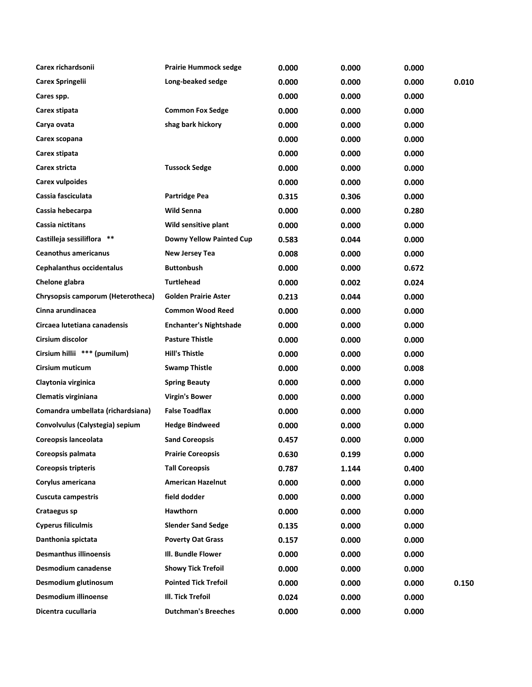| Carex richardsonii                | <b>Prairie Hummock sedge</b>    | 0.000 | 0.000 | 0.000 |       |
|-----------------------------------|---------------------------------|-------|-------|-------|-------|
| <b>Carex Springelii</b>           | Long-beaked sedge               | 0.000 | 0.000 | 0.000 | 0.010 |
| Cares spp.                        |                                 | 0.000 | 0.000 | 0.000 |       |
| Carex stipata                     | <b>Common Fox Sedge</b>         | 0.000 | 0.000 | 0.000 |       |
| Carya ovata                       | shag bark hickory               | 0.000 | 0.000 | 0.000 |       |
| Carex scopana                     |                                 | 0.000 | 0.000 | 0.000 |       |
| Carex stipata                     |                                 | 0.000 | 0.000 | 0.000 |       |
| Carex stricta                     | <b>Tussock Sedge</b>            | 0.000 | 0.000 | 0.000 |       |
| <b>Carex vulpoides</b>            |                                 | 0.000 | 0.000 | 0.000 |       |
| Cassia fasciculata                | <b>Partridge Pea</b>            | 0.315 | 0.306 | 0.000 |       |
| Cassia hebecarpa                  | <b>Wild Senna</b>               | 0.000 | 0.000 | 0.280 |       |
| Cassia nictitans                  | Wild sensitive plant            | 0.000 | 0.000 | 0.000 |       |
| Castilleja sessiliflora **        | <b>Downy Yellow Painted Cup</b> | 0.583 | 0.044 | 0.000 |       |
| <b>Ceanothus americanus</b>       | New Jersey Tea                  | 0.008 | 0.000 | 0.000 |       |
| <b>Cephalanthus occidentalus</b>  | <b>Buttonbush</b>               | 0.000 | 0.000 | 0.672 |       |
| Chelone glabra                    | <b>Turtlehead</b>               | 0.000 | 0.002 | 0.024 |       |
| Chrysopsis camporum (Heterotheca) | <b>Golden Prairie Aster</b>     | 0.213 | 0.044 | 0.000 |       |
| Cinna arundinacea                 | <b>Common Wood Reed</b>         | 0.000 | 0.000 | 0.000 |       |
| Circaea lutetiana canadensis      | <b>Enchanter's Nightshade</b>   | 0.000 | 0.000 | 0.000 |       |
| Cirsium discolor                  | <b>Pasture Thistle</b>          | 0.000 | 0.000 | 0.000 |       |
| Cirsium hillii *** (pumilum)      | <b>Hill's Thistle</b>           | 0.000 | 0.000 | 0.000 |       |
| Cirsium muticum                   | <b>Swamp Thistle</b>            | 0.000 | 0.000 | 0.008 |       |
| Claytonia virginica               | <b>Spring Beauty</b>            | 0.000 | 0.000 | 0.000 |       |
| Clematis virginiana               | Virgin's Bower                  | 0.000 | 0.000 | 0.000 |       |
| Comandra umbellata (richardsiana) | <b>False Toadflax</b>           | 0.000 | 0.000 | 0.000 |       |
| Convolvulus (Calystegia) sepium   | <b>Hedge Bindweed</b>           | 0.000 | 0.000 | 0.000 |       |
| Coreopsis lanceolata              | <b>Sand Coreopsis</b>           | 0.457 | 0.000 | 0.000 |       |
| Coreopsis palmata                 | <b>Prairie Coreopsis</b>        | 0.630 | 0.199 | 0.000 |       |
| <b>Coreopsis tripteris</b>        | <b>Tall Coreopsis</b>           | 0.787 | 1.144 | 0.400 |       |
| Corylus americana                 | <b>American Hazelnut</b>        | 0.000 | 0.000 | 0.000 |       |
| <b>Cuscuta campestris</b>         | field dodder                    | 0.000 | 0.000 | 0.000 |       |
| Crataegus sp                      | Hawthorn                        | 0.000 | 0.000 | 0.000 |       |
| <b>Cyperus filiculmis</b>         | <b>Slender Sand Sedge</b>       | 0.135 | 0.000 | 0.000 |       |
| Danthonia spictata                | <b>Poverty Oat Grass</b>        | 0.157 | 0.000 | 0.000 |       |
| <b>Desmanthus illinoensis</b>     | III. Bundle Flower              | 0.000 | 0.000 | 0.000 |       |
| Desmodium canadense               | <b>Showy Tick Trefoil</b>       | 0.000 | 0.000 | 0.000 |       |
| Desmodium glutinosum              | <b>Pointed Tick Trefoil</b>     | 0.000 | 0.000 | 0.000 | 0.150 |
| Desmodium illinoense              | III. Tick Trefoil               | 0.024 | 0.000 | 0.000 |       |
| Dicentra cucullaria               | <b>Dutchman's Breeches</b>      | 0.000 | 0.000 | 0.000 |       |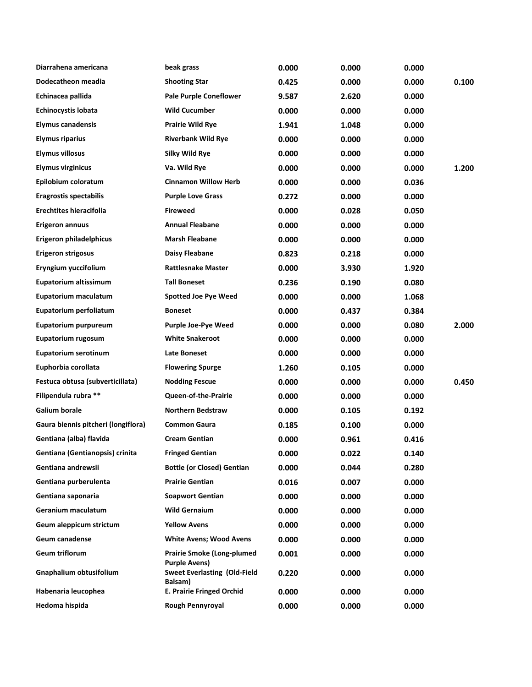| Diarrahena americana                | beak grass                                                | 0.000 | 0.000 | 0.000 |       |
|-------------------------------------|-----------------------------------------------------------|-------|-------|-------|-------|
| Dodecatheon meadia                  | <b>Shooting Star</b>                                      | 0.425 | 0.000 | 0.000 | 0.100 |
| Echinacea pallida                   | <b>Pale Purple Coneflower</b>                             | 9.587 | 2.620 | 0.000 |       |
| <b>Echinocystis lobata</b>          | <b>Wild Cucumber</b>                                      | 0.000 | 0.000 | 0.000 |       |
| <b>Elymus canadensis</b>            | <b>Prairie Wild Rye</b>                                   | 1.941 | 1.048 | 0.000 |       |
| <b>Elymus riparius</b>              | <b>Riverbank Wild Rye</b>                                 | 0.000 | 0.000 | 0.000 |       |
| <b>Elymus villosus</b>              | Silky Wild Rye                                            | 0.000 | 0.000 | 0.000 |       |
| <b>Elymus virginicus</b>            | Va. Wild Rye                                              | 0.000 | 0.000 | 0.000 | 1.200 |
| Epilobium coloratum                 | <b>Cinnamon Willow Herb</b>                               | 0.000 | 0.000 | 0.036 |       |
| <b>Eragrostis spectabilis</b>       | <b>Purple Love Grass</b>                                  | 0.272 | 0.000 | 0.000 |       |
| <b>Erechtites hieracifolia</b>      | <b>Fireweed</b>                                           | 0.000 | 0.028 | 0.050 |       |
| <b>Erigeron annuus</b>              | <b>Annual Fleabane</b>                                    | 0.000 | 0.000 | 0.000 |       |
| Erigeron philadelphicus             | <b>Marsh Fleabane</b>                                     | 0.000 | 0.000 | 0.000 |       |
| Erigeron strigosus                  | Daisy Fleabane                                            | 0.823 | 0.218 | 0.000 |       |
| Eryngium yuccifolium                | <b>Rattlesnake Master</b>                                 | 0.000 | 3.930 | 1.920 |       |
| Eupatorium altissimum               | <b>Tall Boneset</b>                                       | 0.236 | 0.190 | 0.080 |       |
| Eupatorium maculatum                | <b>Spotted Joe Pye Weed</b>                               | 0.000 | 0.000 | 1.068 |       |
| Eupatorium perfoliatum              | <b>Boneset</b>                                            | 0.000 | 0.437 | 0.384 |       |
| Eupatorium purpureum                | <b>Purple Joe-Pye Weed</b>                                | 0.000 | 0.000 | 0.080 | 2.000 |
| Eupatorium rugosum                  | <b>White Snakeroot</b>                                    | 0.000 | 0.000 | 0.000 |       |
| <b>Eupatorium serotinum</b>         | Late Boneset                                              | 0.000 | 0.000 | 0.000 |       |
| Euphorbia corollata                 | <b>Flowering Spurge</b>                                   | 1.260 | 0.105 | 0.000 |       |
| Festuca obtusa (subverticillata)    | <b>Nodding Fescue</b>                                     | 0.000 | 0.000 | 0.000 | 0.450 |
| Filipendula rubra **                | Queen-of-the-Prairie                                      | 0.000 | 0.000 | 0.000 |       |
| <b>Galium borale</b>                | <b>Northern Bedstraw</b>                                  | 0.000 | 0.105 | 0.192 |       |
| Gaura biennis pitcheri (longiflora) | <b>Common Gaura</b>                                       | 0.185 | 0.100 | 0.000 |       |
| Gentiana (alba) flavida             | <b>Cream Gentian</b>                                      | 0.000 | 0.961 | 0.416 |       |
| Gentiana (Gentianopsis) crinita     | <b>Fringed Gentian</b>                                    | 0.000 | 0.022 | 0.140 |       |
| Gentiana andrewsii                  | <b>Bottle (or Closed) Gentian</b>                         | 0.000 | 0.044 | 0.280 |       |
| Gentiana purberulenta               | <b>Prairie Gentian</b>                                    | 0.016 | 0.007 | 0.000 |       |
| Gentiana saponaria                  | <b>Soapwort Gentian</b>                                   | 0.000 | 0.000 | 0.000 |       |
| Geranium maculatum                  | <b>Wild Gernaium</b>                                      | 0.000 | 0.000 | 0.000 |       |
| Geum aleppicum strictum             | <b>Yellow Avens</b>                                       | 0.000 | 0.000 | 0.000 |       |
| Geum canadense                      | <b>White Avens; Wood Avens</b>                            | 0.000 | 0.000 | 0.000 |       |
| Geum triflorum                      | <b>Prairie Smoke (Long-plumed</b><br><b>Purple Avens)</b> | 0.001 | 0.000 | 0.000 |       |
| Gnaphalium obtusifolium             | <b>Sweet Everlasting (Old-Field</b><br>Balsam)            | 0.220 | 0.000 | 0.000 |       |
| Habenaria leucophea                 | <b>E. Prairie Fringed Orchid</b>                          | 0.000 | 0.000 | 0.000 |       |
| Hedoma hispida                      | Rough Pennyroyal                                          | 0.000 | 0.000 | 0.000 |       |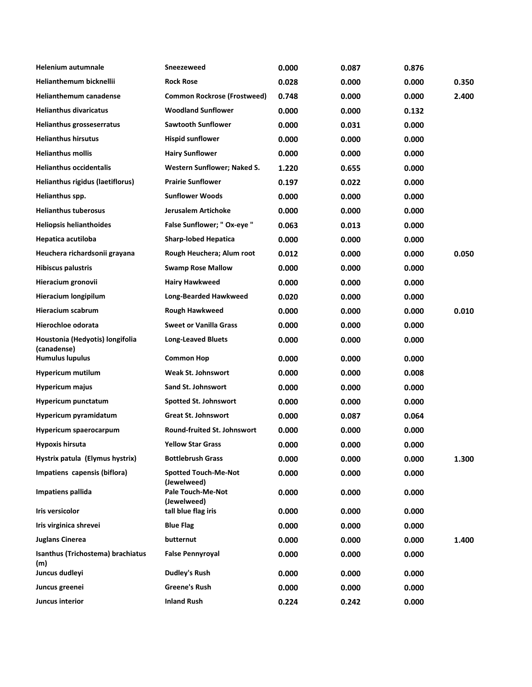| <b>Helenium autumnale</b>                      | Sneezeweed                                 | 0.000 | 0.087 | 0.876 |       |
|------------------------------------------------|--------------------------------------------|-------|-------|-------|-------|
| Helianthemum bicknellii                        | <b>Rock Rose</b>                           | 0.028 | 0.000 | 0.000 | 0.350 |
| <b>Helianthemum canadense</b>                  | <b>Common Rockrose (Frostweed)</b>         | 0.748 | 0.000 | 0.000 | 2.400 |
| <b>Helianthus divaricatus</b>                  | <b>Woodland Sunflower</b>                  | 0.000 | 0.000 | 0.132 |       |
| Helianthus grosseserratus                      | <b>Sawtooth Sunflower</b>                  | 0.000 | 0.031 | 0.000 |       |
| <b>Helianthus hirsutus</b>                     | <b>Hispid sunflower</b>                    | 0.000 | 0.000 | 0.000 |       |
| <b>Helianthus mollis</b>                       | <b>Hairy Sunflower</b>                     | 0.000 | 0.000 | 0.000 |       |
| <b>Helianthus occidentalis</b>                 | <b>Western Sunflower; Naked S.</b>         | 1.220 | 0.655 | 0.000 |       |
| Helianthus rigidus (laetiflorus)               | <b>Prairie Sunflower</b>                   | 0.197 | 0.022 | 0.000 |       |
| Helianthus spp.                                | <b>Sunflower Woods</b>                     | 0.000 | 0.000 | 0.000 |       |
| <b>Helianthus tuberosus</b>                    | <b>Jerusalem Artichoke</b>                 | 0.000 | 0.000 | 0.000 |       |
| <b>Heliopsis helianthoides</b>                 | False Sunflower; " Ox-eye "                | 0.063 | 0.013 | 0.000 |       |
| Hepatica acutiloba                             | <b>Sharp-lobed Hepatica</b>                | 0.000 | 0.000 | 0.000 |       |
| Heuchera richardsonii grayana                  | Rough Heuchera; Alum root                  | 0.012 | 0.000 | 0.000 | 0.050 |
| <b>Hibiscus palustris</b>                      | <b>Swamp Rose Mallow</b>                   | 0.000 | 0.000 | 0.000 |       |
| Hieracium gronovii                             | <b>Hairy Hawkweed</b>                      | 0.000 | 0.000 | 0.000 |       |
| <b>Hieracium longipilum</b>                    | <b>Long-Bearded Hawkweed</b>               | 0.020 | 0.000 | 0.000 |       |
| <b>Hieracium scabrum</b>                       | <b>Rough Hawkweed</b>                      | 0.000 | 0.000 | 0.000 | 0.010 |
| Hierochloe odorata                             | <b>Sweet or Vanilla Grass</b>              | 0.000 | 0.000 | 0.000 |       |
| Houstonia (Hedyotis) longifolia<br>(canadense) | <b>Long-Leaved Bluets</b>                  | 0.000 | 0.000 | 0.000 |       |
| <b>Humulus lupulus</b>                         | <b>Common Hop</b>                          | 0.000 | 0.000 | 0.000 |       |
| <b>Hypericum mutilum</b>                       | <b>Weak St. Johnswort</b>                  | 0.000 | 0.000 | 0.008 |       |
| <b>Hypericum majus</b>                         | Sand St. Johnswort                         | 0.000 | 0.000 | 0.000 |       |
| <b>Hypericum punctatum</b>                     | <b>Spotted St. Johnswort</b>               | 0.000 | 0.000 | 0.000 |       |
| Hypericum pyramidatum                          | <b>Great St. Johnswort</b>                 | 0.000 | 0.087 | 0.064 |       |
| Hypericum spaerocarpum                         | Round-fruited St. Johnswort                | 0.000 | 0.000 | 0.000 |       |
| Hypoxis hirsuta                                | <b>Yellow Star Grass</b>                   | 0.000 | 0.000 | 0.000 |       |
| Hystrix patula (Elymus hystrix)                | <b>Bottlebrush Grass</b>                   | 0.000 | 0.000 | 0.000 | 1.300 |
| Impatiens capensis (biflora)                   | <b>Spotted Touch-Me-Not</b><br>(Jewelweed) | 0.000 | 0.000 | 0.000 |       |
| Impatiens pallida                              | Pale Touch-Me-Not<br>(Jewelweed)           | 0.000 | 0.000 | 0.000 |       |
| Iris versicolor                                | tall blue flag iris                        | 0.000 | 0.000 | 0.000 |       |
| Iris virginica shrevei                         | <b>Blue Flag</b>                           | 0.000 | 0.000 | 0.000 |       |
| <b>Juglans Cinerea</b>                         | butternut                                  | 0.000 | 0.000 | 0.000 | 1.400 |
| Isanthus (Trichostema) brachiatus<br>(m)       | <b>False Pennyroyal</b>                    | 0.000 | 0.000 | 0.000 |       |
| Juncus dudleyi                                 | <b>Dudley's Rush</b>                       | 0.000 | 0.000 | 0.000 |       |
| Juncus greenei                                 | <b>Greene's Rush</b>                       | 0.000 | 0.000 | 0.000 |       |
| Juncus interior                                | <b>Inland Rush</b>                         | 0.224 | 0.242 | 0.000 |       |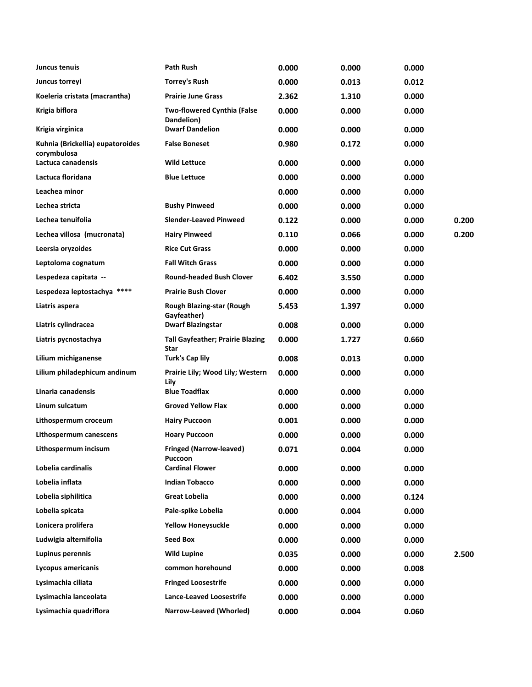| Juncus tenuis                                   | <b>Path Rush</b>                                 | 0.000 | 0.000 | 0.000 |       |
|-------------------------------------------------|--------------------------------------------------|-------|-------|-------|-------|
| Juncus torreyi                                  | <b>Torrey's Rush</b>                             | 0.000 | 0.013 | 0.012 |       |
| Koeleria cristata (macrantha)                   | <b>Prairie June Grass</b>                        | 2.362 | 1.310 | 0.000 |       |
| Krigia biflora                                  | <b>Two-flowered Cynthia (False</b><br>Dandelion) | 0.000 | 0.000 | 0.000 |       |
| Krigia virginica                                | <b>Dwarf Dandelion</b>                           | 0.000 | 0.000 | 0.000 |       |
| Kuhnia (Brickellia) eupatoroides<br>corymbulosa | <b>False Boneset</b>                             | 0.980 | 0.172 | 0.000 |       |
| Lactuca canadensis                              | <b>Wild Lettuce</b>                              | 0.000 | 0.000 | 0.000 |       |
| Lactuca floridana                               | <b>Blue Lettuce</b>                              | 0.000 | 0.000 | 0.000 |       |
| Leachea minor                                   |                                                  | 0.000 | 0.000 | 0.000 |       |
| Lechea stricta                                  | <b>Bushy Pinweed</b>                             | 0.000 | 0.000 | 0.000 |       |
| Lechea tenuifolia                               | <b>Slender-Leaved Pinweed</b>                    | 0.122 | 0.000 | 0.000 | 0.200 |
| Lechea villosa (mucronata)                      | <b>Hairy Pinweed</b>                             | 0.110 | 0.066 | 0.000 | 0.200 |
| Leersia oryzoides                               | <b>Rice Cut Grass</b>                            | 0.000 | 0.000 | 0.000 |       |
| Leptoloma cognatum                              | <b>Fall Witch Grass</b>                          | 0.000 | 0.000 | 0.000 |       |
| Lespedeza capitata --                           | <b>Round-headed Bush Clover</b>                  | 6.402 | 3.550 | 0.000 |       |
| Lespedeza leptostachya ****                     | <b>Prairie Bush Clover</b>                       | 0.000 | 0.000 | 0.000 |       |
| Liatris aspera                                  | Rough Blazing-star (Rough<br>Gayfeather)         | 5.453 | 1.397 | 0.000 |       |
| Liatris cylindracea                             | <b>Dwarf Blazingstar</b>                         | 0.008 | 0.000 | 0.000 |       |
| Liatris pycnostachya                            | <b>Tall Gayfeather; Prairie Blazing</b><br>Star  | 0.000 | 1.727 | 0.660 |       |
| Lilium michiganense                             | <b>Turk's Cap lily</b>                           | 0.008 | 0.013 | 0.000 |       |
| Lilium philadephicum andinum                    | Prairie Lily; Wood Lily; Western<br>Lily         | 0.000 | 0.000 | 0.000 |       |
| Linaria canadensis                              | <b>Blue Toadflax</b>                             | 0.000 | 0.000 | 0.000 |       |
| Linum sulcatum                                  | <b>Groved Yellow Flax</b>                        | 0.000 | 0.000 | 0.000 |       |
| Lithospermum croceum                            | <b>Hairy Puccoon</b>                             | 0.001 | 0.000 | 0.000 |       |
| Lithospermum canescens                          | <b>Hoary Puccoon</b>                             | 0.000 | 0.000 | 0.000 |       |
| Lithospermum incisum                            | Fringed (Narrow-leaved)<br>Puccoon               | 0.071 | 0.004 | 0.000 |       |
| Lobelia cardinalis                              | <b>Cardinal Flower</b>                           | 0.000 | 0.000 | 0.000 |       |
| Lobelia inflata                                 | <b>Indian Tobacco</b>                            | 0.000 | 0.000 | 0.000 |       |
| Lobelia siphilitica                             | <b>Great Lobelia</b>                             | 0.000 | 0.000 | 0.124 |       |
| Lobelia spicata                                 | Pale-spike Lobelia                               | 0.000 | 0.004 | 0.000 |       |
| Lonicera prolifera                              | <b>Yellow Honeysuckle</b>                        | 0.000 | 0.000 | 0.000 |       |
| Ludwigia alternifolia                           | <b>Seed Box</b>                                  | 0.000 | 0.000 | 0.000 |       |
| Lupinus perennis                                | <b>Wild Lupine</b>                               | 0.035 | 0.000 | 0.000 | 2.500 |
| Lycopus americanis                              | common horehound                                 | 0.000 | 0.000 | 0.008 |       |
| Lysimachia ciliata                              | <b>Fringed Loosestrife</b>                       | 0.000 | 0.000 | 0.000 |       |
| Lysimachia lanceolata                           | <b>Lance-Leaved Loosestrife</b>                  | 0.000 | 0.000 | 0.000 |       |
| Lysimachia quadriflora                          | Narrow-Leaved (Whorled)                          | 0.000 | 0.004 | 0.060 |       |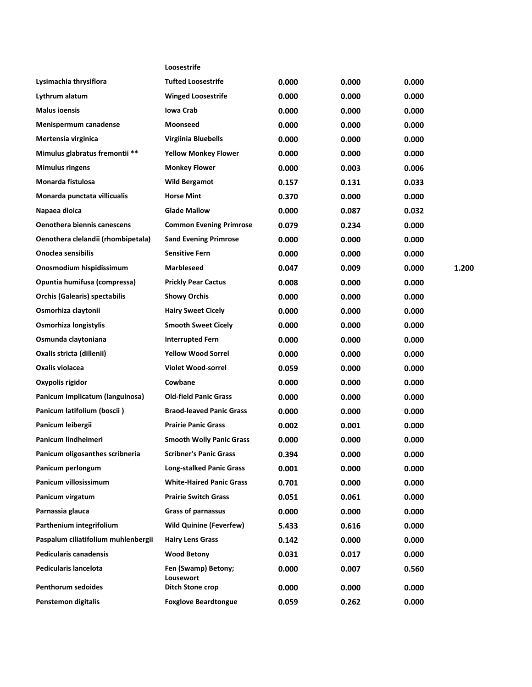|                                      | Loosestrife                      |       |       |       |       |
|--------------------------------------|----------------------------------|-------|-------|-------|-------|
| Lysimachia thrysiflora               | <b>Tufted Loosestrife</b>        | 0.000 | 0.000 | 0.000 |       |
| Lythrum alatum                       | <b>Winged Loosestrife</b>        | 0.000 | 0.000 | 0.000 |       |
| <b>Malus ioensis</b>                 | <b>Iowa Crab</b>                 | 0.000 | 0.000 | 0.000 |       |
| Menispermum canadense                | Moonseed                         | 0.000 | 0.000 | 0.000 |       |
| Mertensia virginica                  | Virgiinia Bluebells              | 0.000 | 0.000 | 0.000 |       |
| Mimulus glabratus fremontii **       | <b>Yellow Monkey Flower</b>      | 0.000 | 0.000 | 0.000 |       |
| <b>Mimulus ringens</b>               | <b>Monkey Flower</b>             | 0.000 | 0.003 | 0.006 |       |
| Monarda fistulosa                    | <b>Wild Bergamot</b>             | 0.157 | 0.131 | 0.033 |       |
| Monarda punctata villicualis         | <b>Horse Mint</b>                | 0.370 | 0.000 | 0.000 |       |
| Napaea dioica                        | <b>Glade Mallow</b>              | 0.000 | 0.087 | 0.032 |       |
| <b>Oenothera biennis canescens</b>   | <b>Common Evening Primrose</b>   | 0.079 | 0.234 | 0.000 |       |
| Oenothera clelandii (rhombipetala)   | <b>Sand Evening Primrose</b>     | 0.000 | 0.000 | 0.000 |       |
| <b>Onoclea sensibilis</b>            | <b>Sensitive Fern</b>            | 0.000 | 0.000 | 0.000 |       |
| Onosmodium hispidissimum             | <b>Marbleseed</b>                | 0.047 | 0.009 | 0.000 | 1.200 |
| Opuntia humifusa (compressa)         | <b>Prickly Pear Cactus</b>       | 0.008 | 0.000 | 0.000 |       |
| <b>Orchis (Galearis) spectabilis</b> | <b>Showy Orchis</b>              | 0.000 | 0.000 | 0.000 |       |
| Osmorhiza claytonii                  | <b>Hairy Sweet Cicely</b>        | 0.000 | 0.000 | 0.000 |       |
| Osmorhiza longistylis                | <b>Smooth Sweet Cicely</b>       | 0.000 | 0.000 | 0.000 |       |
| Osmunda claytoniana                  | <b>Interrupted Fern</b>          | 0.000 | 0.000 | 0.000 |       |
| Oxalis stricta (dillenii)            | <b>Yellow Wood Sorrel</b>        | 0.000 | 0.000 | 0.000 |       |
| Oxalis violacea                      | <b>Violet Wood-sorrel</b>        | 0.059 | 0.000 | 0.000 |       |
| Oxypolis rigidor                     | Cowbane                          | 0.000 | 0.000 | 0.000 |       |
| Panicum implicatum (languinosa)      | <b>Old-field Panic Grass</b>     | 0.000 | 0.000 | 0.000 |       |
| Panicum latifolium (boscii)          | <b>Braod-leaved Panic Grass</b>  | 0.000 | 0.000 | 0.000 |       |
| Panicum leibergii                    | <b>Prairie Panic Grass</b>       | 0.002 | 0.001 | 0.000 |       |
| Panicum lindheimeri                  | <b>Smooth Wolly Panic Grass</b>  | 0.000 | 0.000 | 0.000 |       |
| Panicum oligosanthes scribneria      | <b>Scribner's Panic Grass</b>    | 0.394 | 0.000 | 0.000 |       |
| Panicum perlongum                    | <b>Long-stalked Panic Grass</b>  | 0.001 | 0.000 | 0.000 |       |
| Panicum villosissimum                | <b>White-Haired Panic Grass</b>  | 0.701 | 0.000 | 0.000 |       |
| Panicum virgatum                     | <b>Prairie Switch Grass</b>      | 0.051 | 0.061 | 0.000 |       |
| Parnassia glauca                     | <b>Grass of parnassus</b>        | 0.000 | 0.000 | 0.000 |       |
| Parthenium integrifolium             | <b>Wild Quinine (Feverfew)</b>   | 5.433 | 0.616 | 0.000 |       |
| Paspalum ciliatifolium muhlenbergii  | <b>Hairy Lens Grass</b>          | 0.142 | 0.000 | 0.000 |       |
| <b>Pedicularis canadensis</b>        | <b>Wood Betony</b>               | 0.031 | 0.017 | 0.000 |       |
| <b>Pedicularis lancelota</b>         | Fen (Swamp) Betony;<br>Lousewort | 0.000 | 0.007 | 0.560 |       |
| <b>Penthorum sedoides</b>            | Ditch Stone crop                 | 0.000 | 0.000 | 0.000 |       |
| Penstemon digitalis                  | <b>Foxglove Beardtongue</b>      | 0.059 | 0.262 | 0.000 |       |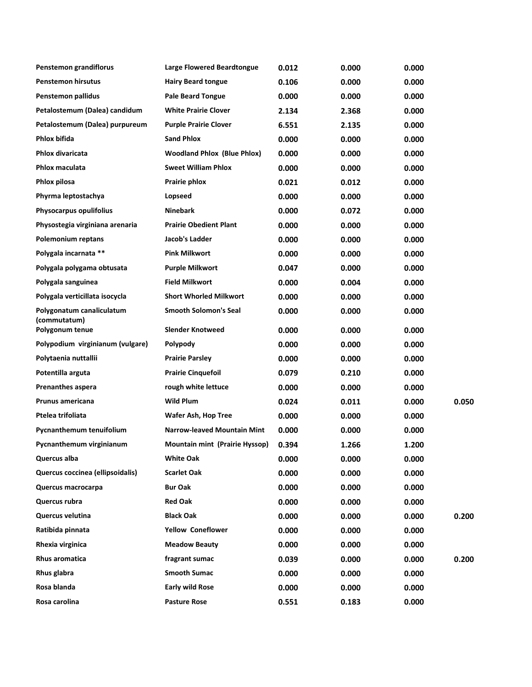| Penstemon grandiflorus                    | <b>Large Flowered Beardtongue</b>  | 0.012 | 0.000 | 0.000 |       |
|-------------------------------------------|------------------------------------|-------|-------|-------|-------|
| <b>Penstemon hirsutus</b>                 | <b>Hairy Beard tongue</b>          | 0.106 | 0.000 | 0.000 |       |
| Penstemon pallidus                        | <b>Pale Beard Tongue</b>           | 0.000 | 0.000 | 0.000 |       |
| Petalostemum (Dalea) candidum             | <b>White Prairie Clover</b>        | 2.134 | 2.368 | 0.000 |       |
| Petalostemum (Dalea) purpureum            | <b>Purple Prairie Clover</b>       | 6.551 | 2.135 | 0.000 |       |
| Phlox bifida                              | <b>Sand Phlox</b>                  | 0.000 | 0.000 | 0.000 |       |
| Phlox divaricata                          | <b>Woodland Phlox (Blue Phlox)</b> | 0.000 | 0.000 | 0.000 |       |
| Phlox maculata                            | <b>Sweet William Phlox</b>         | 0.000 | 0.000 | 0.000 |       |
| Phlox pilosa                              | Prairie phlox                      | 0.021 | 0.012 | 0.000 |       |
| Phyrma leptostachya                       | Lopseed                            | 0.000 | 0.000 | 0.000 |       |
| Physocarpus opulifolius                   | <b>Ninebark</b>                    | 0.000 | 0.072 | 0.000 |       |
| Physostegia virginiana arenaria           | <b>Prairie Obedient Plant</b>      | 0.000 | 0.000 | 0.000 |       |
| <b>Polemonium reptans</b>                 | Jacob's Ladder                     | 0.000 | 0.000 | 0.000 |       |
| Polygala incarnata **                     | <b>Pink Milkwort</b>               | 0.000 | 0.000 | 0.000 |       |
| Polygala polygama obtusata                | <b>Purple Milkwort</b>             | 0.047 | 0.000 | 0.000 |       |
| Polygala sanguinea                        | <b>Field Milkwort</b>              | 0.000 | 0.004 | 0.000 |       |
| Polygala verticillata isocycla            | <b>Short Whorled Milkwort</b>      | 0.000 | 0.000 | 0.000 |       |
| Polygonatum canaliculatum<br>(commutatum) | <b>Smooth Solomon's Seal</b>       | 0.000 | 0.000 | 0.000 |       |
| Polygonum tenue                           | <b>Slender Knotweed</b>            | 0.000 | 0.000 | 0.000 |       |
| Polypodium virginianum (vulgare)          | Polypody                           | 0.000 | 0.000 | 0.000 |       |
| Polytaenia nuttallii                      | <b>Prairie Parsley</b>             | 0.000 | 0.000 | 0.000 |       |
| Potentilla arguta                         | <b>Prairie Cinquefoil</b>          | 0.079 | 0.210 | 0.000 |       |
| <b>Prenanthes aspera</b>                  | rough white lettuce                | 0.000 | 0.000 | 0.000 |       |
| <b>Prunus americana</b>                   | <b>Wild Plum</b>                   | 0.024 | 0.011 | 0.000 | 0.050 |
| Ptelea trifoliata                         | Wafer Ash, Hop Tree                | 0.000 | 0.000 | 0.000 |       |
| Pycnanthemum tenuifolium                  | <b>Narrow-leaved Mountain Mint</b> | 0.000 | 0.000 | 0.000 |       |
| Pycnanthemum virginianum                  | Mountain mint (Prairie Hyssop)     | 0.394 | 1.266 | 1.200 |       |
| Quercus alba                              | <b>White Oak</b>                   | 0.000 | 0.000 | 0.000 |       |
| Quercus coccinea (ellipsoidalis)          | <b>Scarlet Oak</b>                 | 0.000 | 0.000 | 0.000 |       |
| Quercus macrocarpa                        | <b>Bur Oak</b>                     | 0.000 | 0.000 | 0.000 |       |
| Quercus rubra                             | <b>Red Oak</b>                     | 0.000 | 0.000 | 0.000 |       |
| Quercus velutina                          | <b>Black Oak</b>                   | 0.000 | 0.000 | 0.000 | 0.200 |
| Ratibida pinnata                          | <b>Yellow Coneflower</b>           | 0.000 | 0.000 | 0.000 |       |
| Rhexia virginica                          | <b>Meadow Beauty</b>               | 0.000 | 0.000 | 0.000 |       |
| Rhus aromatica                            | fragrant sumac                     | 0.039 | 0.000 | 0.000 | 0.200 |
| Rhus glabra                               | <b>Smooth Sumac</b>                | 0.000 | 0.000 | 0.000 |       |
| Rosa blanda                               | <b>Early wild Rose</b>             | 0.000 | 0.000 | 0.000 |       |
| Rosa carolina                             | <b>Pasture Rose</b>                | 0.551 | 0.183 | 0.000 |       |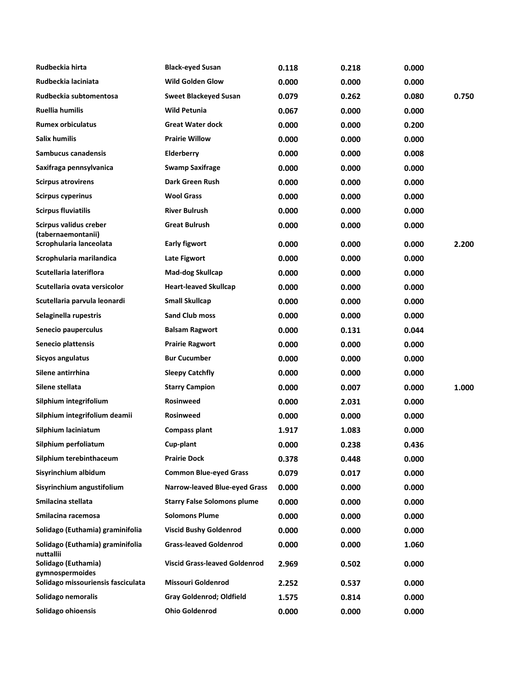| Rudbeckia hirta                               | <b>Black-eyed Susan</b>              | 0.118 | 0.218 | 0.000 |       |
|-----------------------------------------------|--------------------------------------|-------|-------|-------|-------|
| Rudbeckia laciniata                           | <b>Wild Golden Glow</b>              | 0.000 | 0.000 | 0.000 |       |
| Rudbeckia subtomentosa                        | <b>Sweet Blackeyed Susan</b>         | 0.079 | 0.262 | 0.080 | 0.750 |
| Ruellia humilis                               | <b>Wild Petunia</b>                  | 0.067 | 0.000 | 0.000 |       |
| <b>Rumex orbiculatus</b>                      | <b>Great Water dock</b>              | 0.000 | 0.000 | 0.200 |       |
| Salix humilis                                 | <b>Prairie Willow</b>                | 0.000 | 0.000 | 0.000 |       |
| Sambucus canadensis                           | Elderberry                           | 0.000 | 0.000 | 0.008 |       |
| Saxifraga pennsylvanica                       | <b>Swamp Saxifrage</b>               | 0.000 | 0.000 | 0.000 |       |
| <b>Scirpus atrovirens</b>                     | Dark Green Rush                      | 0.000 | 0.000 | 0.000 |       |
| <b>Scirpus cyperinus</b>                      | <b>Wool Grass</b>                    | 0.000 | 0.000 | 0.000 |       |
| <b>Scirpus fluviatilis</b>                    | <b>River Bulrush</b>                 | 0.000 | 0.000 | 0.000 |       |
| Scirpus validus creber<br>(tabernaemontanii)  | <b>Great Bulrush</b>                 | 0.000 | 0.000 | 0.000 |       |
| Scrophularia lanceolata                       | <b>Early figwort</b>                 | 0.000 | 0.000 | 0.000 | 2.200 |
| Scrophularia marilandica                      | Late Figwort                         | 0.000 | 0.000 | 0.000 |       |
| Scutellaria lateriflora                       | <b>Mad-dog Skullcap</b>              | 0.000 | 0.000 | 0.000 |       |
| Scutellaria ovata versicolor                  | <b>Heart-leaved Skullcap</b>         | 0.000 | 0.000 | 0.000 |       |
| Scutellaria parvula leonardi                  | <b>Small Skullcap</b>                | 0.000 | 0.000 | 0.000 |       |
| Selaginella rupestris                         | <b>Sand Club moss</b>                | 0.000 | 0.000 | 0.000 |       |
| Senecio pauperculus                           | <b>Balsam Ragwort</b>                | 0.000 | 0.131 | 0.044 |       |
| Senecio plattensis                            | <b>Prairie Ragwort</b>               | 0.000 | 0.000 | 0.000 |       |
| Sicyos angulatus                              | <b>Bur Cucumber</b>                  | 0.000 | 0.000 | 0.000 |       |
| Silene antirrhina                             | <b>Sleepy Catchfly</b>               | 0.000 | 0.000 | 0.000 |       |
| Silene stellata                               | <b>Starry Campion</b>                | 0.000 | 0.007 | 0.000 | 1.000 |
| Silphium integrifolium                        | <b>Rosinweed</b>                     | 0.000 | 2.031 | 0.000 |       |
| Silphium integrifolium deamii                 | <b>Rosinweed</b>                     | 0.000 | 0.000 | 0.000 |       |
| Silphium laciniatum                           | <b>Compass plant</b>                 | 1.917 | 1.083 | 0.000 |       |
| Silphium perfoliatum                          | Cup-plant                            | 0.000 | 0.238 | 0.436 |       |
| Silphium terebinthaceum                       | <b>Prairie Dock</b>                  | 0.378 | 0.448 | 0.000 |       |
| Sisyrinchium albidum                          | <b>Common Blue-eyed Grass</b>        | 0.079 | 0.017 | 0.000 |       |
| Sisyrinchium angustifolium                    | Narrow-leaved Blue-eyed Grass        | 0.000 | 0.000 | 0.000 |       |
| Smilacina stellata                            | <b>Starry False Solomons plume</b>   | 0.000 | 0.000 | 0.000 |       |
| Smilacina racemosa                            | <b>Solomons Plume</b>                | 0.000 | 0.000 | 0.000 |       |
| Solidago (Euthamia) graminifolia              | <b>Viscid Bushy Goldenrod</b>        | 0.000 | 0.000 | 0.000 |       |
| Solidago (Euthamia) graminifolia<br>nuttallii | <b>Grass-leaved Goldenrod</b>        | 0.000 | 0.000 | 1.060 |       |
| Solidago (Euthamia)<br>gymnospermoides        | <b>Viscid Grass-leaved Goldenrod</b> | 2.969 | 0.502 | 0.000 |       |
| Solidago missouriensis fasciculata            | <b>Missouri Goldenrod</b>            | 2.252 | 0.537 | 0.000 |       |
| Solidago nemoralis                            | Gray Goldenrod; Oldfield             | 1.575 | 0.814 | 0.000 |       |
| Solidago ohioensis                            | <b>Ohio Goldenrod</b>                | 0.000 | 0.000 | 0.000 |       |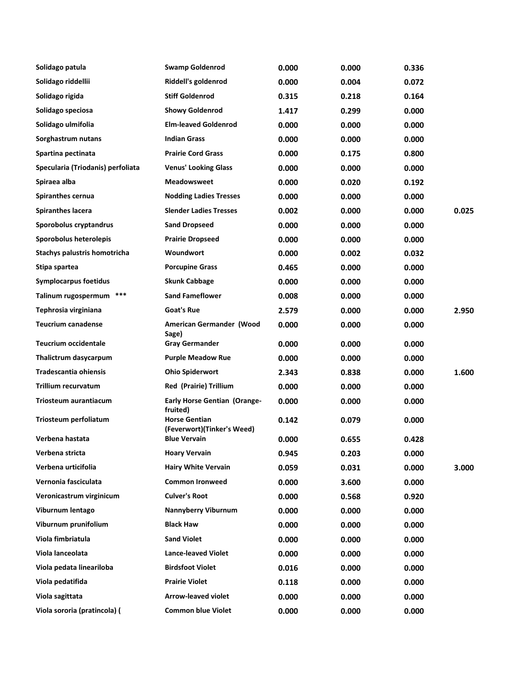| Solidago patula                   | <b>Swamp Goldenrod</b>                             | 0.000 | 0.000 | 0.336 |       |
|-----------------------------------|----------------------------------------------------|-------|-------|-------|-------|
| Solidago riddellii                | Riddell's goldenrod                                | 0.000 | 0.004 | 0.072 |       |
| Solidago rigida                   | <b>Stiff Goldenrod</b>                             | 0.315 | 0.218 | 0.164 |       |
| Solidago speciosa                 | <b>Showy Goldenrod</b>                             | 1.417 | 0.299 | 0.000 |       |
| Solidago ulmifolia                | <b>Elm-leaved Goldenrod</b>                        | 0.000 | 0.000 | 0.000 |       |
| Sorghastrum nutans                | <b>Indian Grass</b>                                | 0.000 | 0.000 | 0.000 |       |
| Spartina pectinata                | <b>Prairie Cord Grass</b>                          | 0.000 | 0.175 | 0.800 |       |
| Specularia (Triodanis) perfoliata | <b>Venus' Looking Glass</b>                        | 0.000 | 0.000 | 0.000 |       |
| Spiraea alba                      | <b>Meadowsweet</b>                                 | 0.000 | 0.020 | 0.192 |       |
| Spiranthes cernua                 | <b>Nodding Ladies Tresses</b>                      | 0.000 | 0.000 | 0.000 |       |
| <b>Spiranthes lacera</b>          | <b>Slender Ladies Tresses</b>                      | 0.002 | 0.000 | 0.000 | 0.025 |
| Sporobolus cryptandrus            | <b>Sand Dropseed</b>                               | 0.000 | 0.000 | 0.000 |       |
| Sporobolus heterolepis            | <b>Prairie Dropseed</b>                            | 0.000 | 0.000 | 0.000 |       |
| Stachys palustris homotricha      | Woundwort                                          | 0.000 | 0.002 | 0.032 |       |
| Stipa spartea                     | <b>Porcupine Grass</b>                             | 0.465 | 0.000 | 0.000 |       |
| <b>Symplocarpus foetidus</b>      | <b>Skunk Cabbage</b>                               | 0.000 | 0.000 | 0.000 |       |
| Talinum rugospermum ***           | <b>Sand Fameflower</b>                             | 0.008 | 0.000 | 0.000 |       |
| Tephrosia virginiana              | Goat's Rue                                         | 2.579 | 0.000 | 0.000 | 2.950 |
| <b>Teucrium canadense</b>         | American Germander (Wood<br>Sage)                  | 0.000 | 0.000 | 0.000 |       |
| <b>Teucrium occidentale</b>       | <b>Gray Germander</b>                              | 0.000 | 0.000 | 0.000 |       |
| Thalictrum dasycarpum             | <b>Purple Meadow Rue</b>                           | 0.000 | 0.000 | 0.000 |       |
| Tradescantia ohiensis             | <b>Ohio Spiderwort</b>                             | 2.343 | 0.838 | 0.000 | 1.600 |
| Trillium recurvatum               | <b>Red (Prairie) Trillium</b>                      | 0.000 | 0.000 | 0.000 |       |
| Triosteum aurantiacum             | <b>Early Horse Gentian (Orange-</b><br>fruited)    | 0.000 | 0.000 | 0.000 |       |
| Triosteum perfoliatum             | <b>Horse Gentian</b><br>(Feverwort)(Tinker's Weed) | 0.142 | 0.079 | 0.000 |       |
| Verbena hastata                   | <b>Blue Vervain</b>                                | 0.000 | 0.655 | 0.428 |       |
| Verbena stricta                   | <b>Hoary Vervain</b>                               | 0.945 | 0.203 | 0.000 |       |
| Verbena urticifolia               | <b>Hairy White Vervain</b>                         | 0.059 | 0.031 | 0.000 | 3.000 |
| Vernonia fasciculata              | <b>Common Ironweed</b>                             | 0.000 | 3.600 | 0.000 |       |
| Veronicastrum virginicum          | <b>Culver's Root</b>                               | 0.000 | 0.568 | 0.920 |       |
| Viburnum lentago                  | <b>Nannyberry Viburnum</b>                         | 0.000 | 0.000 | 0.000 |       |
| Viburnum prunifolium              | <b>Black Haw</b>                                   | 0.000 | 0.000 | 0.000 |       |
| Viola fimbriatula                 | <b>Sand Violet</b>                                 | 0.000 | 0.000 | 0.000 |       |
| Viola lanceolata                  | <b>Lance-leaved Violet</b>                         | 0.000 | 0.000 | 0.000 |       |
| Viola pedata lineariloba          | <b>Birdsfoot Violet</b>                            | 0.016 | 0.000 | 0.000 |       |
| Viola pedatifida                  | <b>Prairie Violet</b>                              | 0.118 | 0.000 | 0.000 |       |
| Viola sagittata                   | <b>Arrow-leaved violet</b>                         | 0.000 | 0.000 | 0.000 |       |
| Viola sororia (pratincola) (      | <b>Common blue Violet</b>                          | 0.000 | 0.000 | 0.000 |       |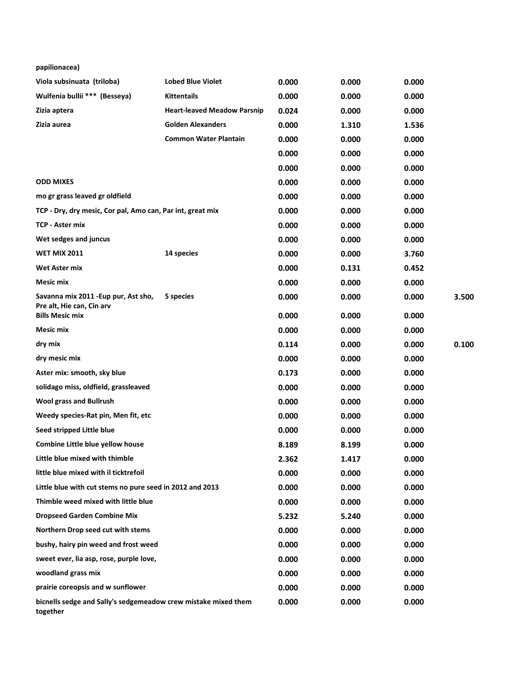| papilionacea)                                                              |                                    |       |       |       |       |
|----------------------------------------------------------------------------|------------------------------------|-------|-------|-------|-------|
| Viola subsinuata (triloba)                                                 | <b>Lobed Blue Violet</b>           | 0.000 | 0.000 | 0.000 |       |
| Wulfenia bullii *** (Besseya)                                              | <b>Kittentails</b>                 | 0.000 | 0.000 | 0.000 |       |
| Zizia aptera                                                               | <b>Heart-leaved Meadow Parsnip</b> | 0.024 | 0.000 | 0.000 |       |
| Zizia aurea                                                                | <b>Golden Alexanders</b>           | 0.000 | 1.310 | 1.536 |       |
|                                                                            | <b>Common Water Plantain</b>       | 0.000 | 0.000 | 0.000 |       |
|                                                                            |                                    | 0.000 | 0.000 | 0.000 |       |
|                                                                            |                                    | 0.000 | 0.000 | 0.000 |       |
| <b>ODD MIXES</b>                                                           |                                    | 0.000 | 0.000 | 0.000 |       |
| mo gr grass leaved gr oldfield                                             |                                    | 0.000 | 0.000 | 0.000 |       |
| TCP - Dry, dry mesic, Cor pal, Amo can, Par int, great mix                 |                                    | 0.000 | 0.000 | 0.000 |       |
| <b>TCP - Aster mix</b>                                                     |                                    | 0.000 | 0.000 | 0.000 |       |
| Wet sedges and juncus                                                      |                                    | 0.000 | 0.000 | 0.000 |       |
| <b>WET MIX 2011</b>                                                        | 14 species                         | 0.000 | 0.000 | 3.760 |       |
| Wet Aster mix                                                              |                                    | 0.000 | 0.131 | 0.452 |       |
| <b>Mesic mix</b>                                                           |                                    | 0.000 | 0.000 | 0.000 |       |
| Savanna mix 2011 - Eup pur, Ast sho,<br>Pre alt, Hie can, Cin arv          | 5 species                          | 0.000 | 0.000 | 0.000 | 3.500 |
| <b>Bills Mesic mix</b>                                                     |                                    | 0.000 | 0.000 | 0.000 |       |
| <b>Mesic mix</b>                                                           |                                    | 0.000 | 0.000 | 0.000 |       |
| dry mix                                                                    |                                    | 0.114 | 0.000 | 0.000 | 0.100 |
| dry mesic mix                                                              |                                    | 0.000 | 0.000 | 0.000 |       |
| Aster mix: smooth, sky blue                                                |                                    | 0.173 | 0.000 | 0.000 |       |
| solidago miss, oldfield, grassleaved                                       |                                    | 0.000 | 0.000 | 0.000 |       |
| <b>Wool grass and Bullrush</b>                                             |                                    | 0.000 | 0.000 | 0.000 |       |
| Weedy species-Rat pin, Men fit, etc                                        |                                    | 0.000 | 0.000 | 0.000 |       |
| Seed stripped Little blue                                                  |                                    | 0.000 | 0.000 | 0.000 |       |
| Combine Little blue yellow house                                           |                                    | 8.189 | 8.199 | 0.000 |       |
| Little blue mixed with thimble                                             |                                    | 2.362 | 1.417 | 0.000 |       |
| little blue mixed with il ticktrefoil                                      |                                    | 0.000 | 0.000 | 0.000 |       |
| Little blue with cut stems no pure seed in 2012 and 2013                   |                                    | 0.000 | 0.000 | 0.000 |       |
| Thimble weed mixed with little blue                                        |                                    | 0.000 | 0.000 | 0.000 |       |
| <b>Dropseed Garden Combine Mix</b>                                         |                                    | 5.232 | 5.240 | 0.000 |       |
| Northern Drop seed cut with stems                                          |                                    | 0.000 | 0.000 | 0.000 |       |
| bushy, hairy pin weed and frost weed                                       |                                    | 0.000 | 0.000 | 0.000 |       |
| sweet ever, lia asp, rose, purple love,                                    |                                    | 0.000 | 0.000 | 0.000 |       |
| woodland grass mix                                                         |                                    | 0.000 | 0.000 | 0.000 |       |
| prairie coreopsis and w sunflower                                          |                                    | 0.000 | 0.000 | 0.000 |       |
| bicnells sedge and Sally's sedgemeadow crew mistake mixed them<br>together |                                    | 0.000 | 0.000 | 0.000 |       |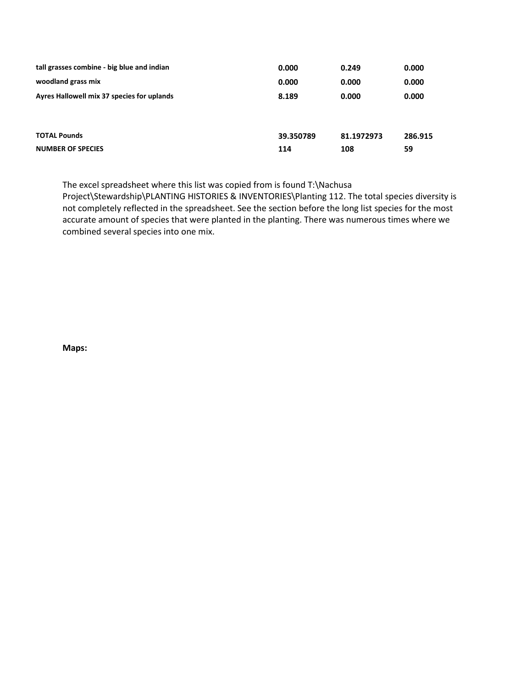| tall grasses combine - big blue and indian      | 0.000            | 0.249             | 0.000         |
|-------------------------------------------------|------------------|-------------------|---------------|
| woodland grass mix                              | 0.000            | 0.000             | 0.000         |
| Ayres Hallowell mix 37 species for uplands      | 8.189            | 0.000             | 0.000         |
| <b>TOTAL Pounds</b><br><b>NUMBER OF SPECIES</b> | 39.350789<br>114 | 81.1972973<br>108 | 286.915<br>59 |

The excel spreadsheet where this list was copied from is found T:\Nachusa

Project\Stewardship\PLANTING HISTORIES & INVENTORIES\Planting 112. The total species diversity is not completely reflected in the spreadsheet. See the section before the long list species for the most accurate amount of species that were planted in the planting. There was numerous times where we combined several species into one mix.

**Maps:**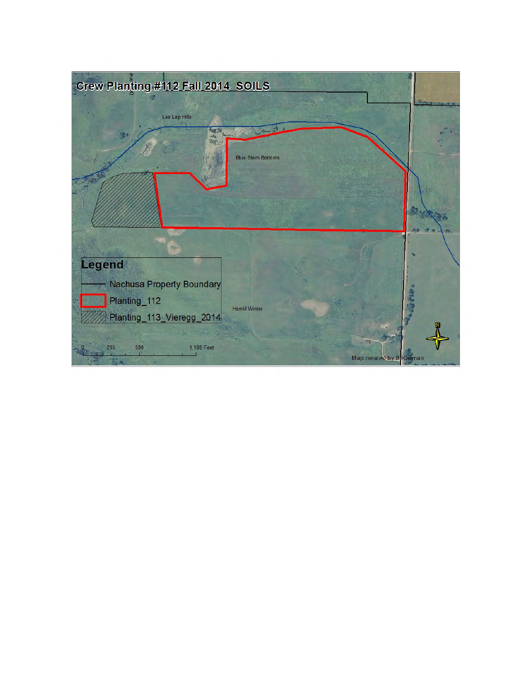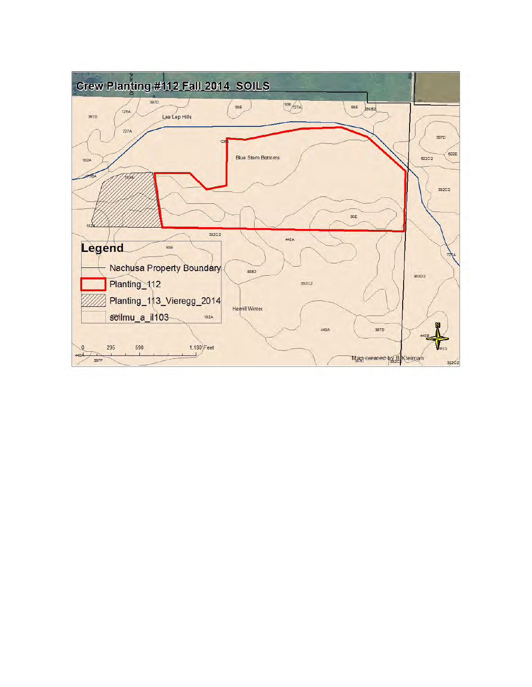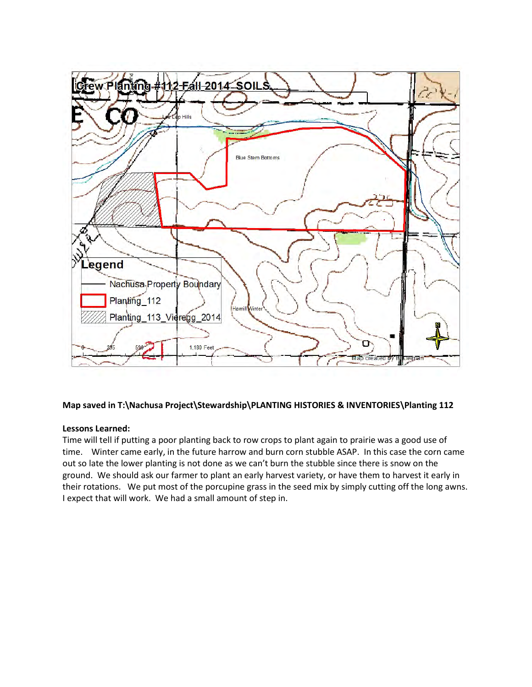

## **Map saved in T:\Nachusa Project\Stewardship\PLANTING HISTORIES & INVENTORIES\Planting 112**

### **Lessons Learned:**

Time will tell if putting a poor planting back to row crops to plant again to prairie was a good use of time. Winter came early, in the future harrow and burn corn stubble ASAP. In this case the corn came out so late the lower planting is not done as we can't burn the stubble since there is snow on the ground. We should ask our farmer to plant an early harvest variety, or have them to harvest it early in their rotations. We put most of the porcupine grass in the seed mix by simply cutting off the long awns. I expect that will work. We had a small amount of step in.